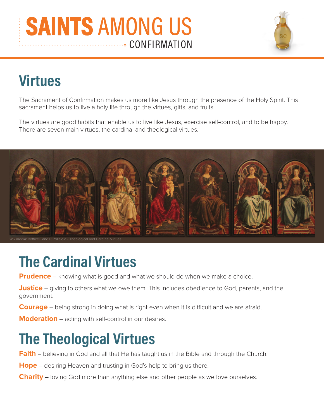#### **CONFIRMATION SAINTS** AMONG US



The Sacrament of Confirmation makes us more like Jesus through the presence of the Holy Spirit. This sacrament helps us to live a holy life through the virtues, gifts, and fruits.

The virtues are good habits that enable us to live like Jesus, exercise self-control, and to be happy. There are seven main virtues, the cardinal and theological virtues.



edia: Botticelli and P. Pollaiolo - Theological and C

# **The Cardinal Virtues**

**Prudence** – knowing what is good and what we should do when we make a choice.

**Justice** – giving to others what we owe them. This includes obedience to God, parents, and the government.

**Courage** – being strong in doing what is right even when it is difficult and we are afraid.

**Moderation** – acting with self-control in our desires.

### **The Theological Virtues**

**Faith** – believing in God and all that He has taught us in the Bible and through the Church.

**Hope** – desiring Heaven and trusting in God's help to bring us there.

**Charity** – loving God more than anything else and other people as we love ourselves.